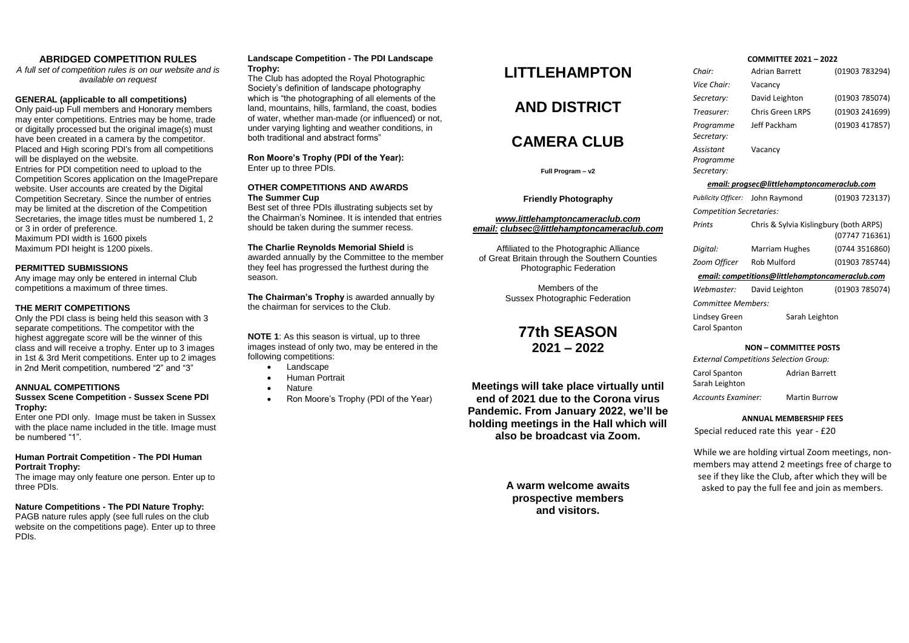## **ABRIDGED COMPETITION RULES**

*A full set of competition rules is on our website and is available on request*

### **GENERAL (applicable to all competitions)**

Only paid-up Full members and Honorary members may enter competitions. Entries may be home, trade or digitally processed but the original image(s) must have been created in a camera by the competitor. Placed and High scoring PDI's from all competitions will be displayed on the website.

Entries for PDI competition need to upload to the Competition Scores application on the ImagePrepare website. User accounts are created by the Digital Competition Secretary. Since the number of entries may be limited at the discretion of the Competition Secretaries, the image titles must be numbered 1, 2 or 3 in order of preference.

Maximum PDI width is 1600 pixels Maximum PDI height is 1200 pixels.

#### **PERMITTED SUBMISSIONS**

Any image may only be entered in internal Club competitions a maximum of three times.

### **THE MERIT COMPETITIONS**

Only the PDI class is being held this season with 3 separate competitions. The competitor with the highest aggregate score will be the winner of this class and will receive a trophy. Enter up to 3 images in 1st & 3rd Merit competitions. Enter up to 2 images in 2nd Merit competition, numbered "2" and "3"

### **ANNUAL COMPETITIONS**

### **Sussex Scene Competition - Sussex Scene PDI Trophy:**

Enter one PDI only. Image must be taken in Sussex with the place name included in the title. Image must be numbered "1".

## **Human Portrait Competition - The PDI Human Portrait Trophy:**

The image may only feature one person. Enter up to three PDIs.

# **Nature Competitions - The PDI Nature Trophy:**

PAGB nature rules apply (see full rules on the club website on the competitions page). Enter up to three PDIs.

### **Landscape Competition - The PDI Landscape Trophy:**

The Club has adopted the Royal Photographic Society's definition of landscape photography which is "the photographing of all elements of the land, mountains, hills, farmland, the coast, bodies of water, whether man-made (or influenced) or not, under varying lighting and weather conditions, in both traditional and abstract forms"

**Ron Moore's Trophy (PDI of the Year):** Enter up to three PDIs.

#### **OTHER COMPETITIONS AND AWARDS The Summer Cup**

Best set of three PDIs illustrating subjects set by the Chairman's Nominee. It is intended that entries should be taken during the summer recess.

## **The Charlie Reynolds Memorial Shield** is

awarded annually by the Committee to the member they feel has progressed the furthest during the season.

**The Chairman's Trophy** is awarded annually by the chairman for services to the Club.

**NOTE 1**: As this season is virtual, up to three images instead of only two, may be entered in the following competitions:

- $\bullet$  Landscape
- Human Portrait
- Nature
- Ron Moore's Trophy (PDI of the Year)

# **LITTLEHAMPTON**

# **AND DISTRICT**

# **CAMERA CLUB**

**Full Program – v2**

**Friendly Photography**

#### *www.littlehamptoncameraclub.com email: [clubsec@littlehamptoncamerac](mailto:clubsec@littlehamptoncamera)lub.com*

Affiliated to the Photographic Alliance of Great Britain through the Southern Counties Photographic Federation

> Members of the Sussex Photographic Federation

# **77th SEASON 2021 – 2022**

**Meetings will take place virtually until end of 2021 due to the Corona virus Pandemic. From January 2022, we'll be holding meetings in the Hall which will also be broadcast via Zoom.**

> **A warm welcome awaits prospective members and visitors.**

# **COMMITTEE 2021 – 2022**

| Chair:                                     | <b>Adrian Barrett</b> | (01903 783294) |  |
|--------------------------------------------|-----------------------|----------------|--|
| Vice Chair:                                | Vacancy               |                |  |
| Secretary:                                 | David Leighton        | (01903 785074) |  |
| Treasurer:                                 | Chris Green LRPS      | (01903 241699) |  |
| Programme<br>Secretary:                    | Jeff Packham          | (01903 417857) |  |
| Assistant<br>Programme<br>Secretary:       | Vacancy               |                |  |
| email: progsec@littlehamptoncameraclub.com |                       |                |  |

|                                                 | Publicity Officer: John Raymond        | (01903 723137) |  |  |
|-------------------------------------------------|----------------------------------------|----------------|--|--|
| <b>Competition Secretaries:</b>                 |                                        |                |  |  |
| Prints                                          | Chris & Sylvia Kislingbury (both ARPS) | (07747 716361) |  |  |
| Digital:                                        | Marriam Hughes                         | (0744 3516860) |  |  |
| Zoom Officer                                    | Rob Mulford                            | (01903 785744) |  |  |
| email: competitions@littlehamptoncameraclub.com |                                        |                |  |  |
| Webmaster:                                      | David Leighton                         | (01903 785074) |  |  |
| Committee Members:                              |                                        |                |  |  |
| Lindsey Green                                   | Sarah Leighton                         |                |  |  |

# Carol Spanton

## **NON – COMMITTEE POSTS**

*External Competitions Selection Group:* Carol Spanton Sarah Leighton Adrian Barrett *Accounts Examiner:* Martin Burrow

#### **ANNUAL MEMBERSHIP FEES**

Special reduced rate this year - £20

While we are holding virtual Zoom meetings, nonmembers may attend 2 meetings free of charge to see if they like the Club, after which they will be asked to pay the full fee and join as members.